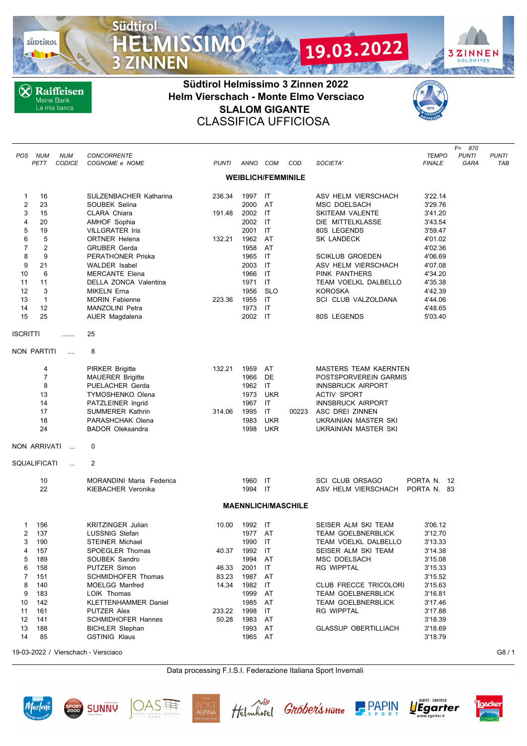süptirol

**X** Raiffeisen Meine Bank<br>La mia banca

**Südtirol** 

3

ZINNEN

**MISSIMO** 

## **Südtirol Helmissimo 3 Zinnen 2022 Helm Vierschach - Monte Elmo Versciaco SLALOM GIGANTE** CLASSIFICA UFFICIOSA



19.03.2022

*F= 870*

**3ZINNEN** 

**DOLOMITES FACA PY** 

| POS            | NUM<br>PETT    | <b>NUM</b><br><b>CODICE</b> | <b>CONCORRENTE</b><br>COGNOME e NOME | <b>PUNTI</b> | ANNO COM                  |                    | COD.                      | SOCIETA'                     | <b>TEMPO</b><br><i>FINALE</i> | <b>PUNTI</b><br><b>GARA</b> | <b>PUNTI</b><br>TAB |
|----------------|----------------|-----------------------------|--------------------------------------|--------------|---------------------------|--------------------|---------------------------|------------------------------|-------------------------------|-----------------------------|---------------------|
|                |                |                             |                                      |              | <b>WEIBLICH/FEMMINILE</b> |                    |                           |                              |                               |                             |                     |
| 1              | 16             |                             | SULZENBACHER Katharina               | 236.34       | 1997 IT                   |                    |                           | ASV HELM VIERSCHACH          | 3'22.14                       |                             |                     |
| $\overline{2}$ | 23             |                             | SOUBEK Selina                        |              | 2000                      | AT                 |                           | <b>MSC DOELSACH</b>          | 3'29.76                       |                             |                     |
| 3              | 15             |                             | CLARA Chiara                         | 191.48       | 2002                      | IT                 |                           | <b>SKITEAM VALENTE</b>       | 3'41.20                       |                             |                     |
| 4              | 20             |                             | <b>AMHOF Sophia</b>                  |              | 2002                      | IT                 |                           | DIE MITTELKLASSE             | 3'43.54                       |                             |                     |
| 5              | 19             |                             | <b>VILLGRATER Iris</b>               |              | 2001                      | <b>IT</b>          |                           | 80S LEGENDS                  | 3'59.47                       |                             |                     |
| 6              | 5              |                             | <b>ORTNER Helena</b>                 | 132.21       | 1962                      | AT                 |                           | SK LANDECK                   | 4'01.02                       |                             |                     |
| $\overline{7}$ | $\overline{2}$ |                             | <b>GRUBER Gerda</b>                  |              | 1958                      | AT                 |                           |                              | 4'02.36                       |                             |                     |
| 8              | 9              |                             | PERATHONER Priska                    |              | 1965                      | IT                 |                           | <b>SCIKLUB GROEDEN</b>       | 4'06.69                       |                             |                     |
| 9              | 21             |                             | <b>WALDER</b> Isabel                 |              | 2003                      | IT                 |                           | ASV HELM VIERSCHACH          | 4'07.08                       |                             |                     |
| 10             | 6              |                             | <b>MERCANTE Elena</b>                |              | 1966                      | IT                 |                           | PINK PANTHERS                | 4'34.20                       |                             |                     |
| 11             | 11             |                             | DELLA ZONCA Valentina                |              | 1971                      | IT                 |                           | TEAM VOELKL DALBELLO         | 4'35.38                       |                             |                     |
| 12             | 3              |                             | MIKELN Erna                          |              | 1956                      | <b>SLO</b>         |                           | <b>KOROSKA</b>               | 4'42.39                       |                             |                     |
| 13             | $\mathbf{1}$   |                             | <b>MORIN Fabienne</b>                | 223.36       | 1955                      | IT                 |                           | SCI CLUB VALZOLDANA          | 4'44.06                       |                             |                     |
| 14<br>15       | 12<br>25       |                             | MANZOLINI Petra                      |              | 1973<br>2002              | IT<br>$\mathsf{I}$ |                           |                              | 4'48.65                       |                             |                     |
|                |                |                             | AUER Magdalena                       |              |                           |                    |                           | 80S LEGENDS                  | 5'03.40                       |                             |                     |
| ISCRITTI       |                |                             | 25                                   |              |                           |                    |                           |                              |                               |                             |                     |
|                | NON PARTITI    | $\cdots$                    | 8                                    |              |                           |                    |                           |                              |                               |                             |                     |
|                | 4              |                             | <b>PIRKER Brigitte</b>               | 132.21       | 1959                      | AT                 |                           | <b>MASTERS TEAM KAERNTEN</b> |                               |                             |                     |
|                | $\overline{7}$ |                             | <b>MAUERER Brigitte</b>              |              | 1966                      | DE                 |                           | POSTSPORVEREIN GARMIS        |                               |                             |                     |
|                | 8              |                             | <b>PUELACHER Gerda</b>               |              | 1962                      | IT                 |                           | <b>INNSBRUCK AIRPORT</b>     |                               |                             |                     |
|                | 13             |                             | <b>TYMOSHENKO Olena</b>              |              | 1973                      | <b>UKR</b>         |                           | <b>ACTIV SPORT</b>           |                               |                             |                     |
|                | 14             |                             | PATZLEINER Ingrid                    |              | 1967                      | IT                 |                           | <b>INNSBRUCK AIRPORT</b>     |                               |                             |                     |
|                | 17             |                             | SUMMERER Kathrin                     | 314.06       | 1995                      | IT                 | 00223                     | ASC DREI ZINNEN              |                               |                             |                     |
|                | 18             |                             | PARASHCHAK Olena                     |              | 1983                      | UKR                |                           | UKRAINIAN MASTER SKI         |                               |                             |                     |
|                | 24             |                             | <b>BADOR Oleksandra</b>              |              | 1998                      | <b>UKR</b>         |                           | UKRAINIAN MASTER SKI         |                               |                             |                     |
|                | NON ARRIVATI   | $\sim$                      | 0                                    |              |                           |                    |                           |                              |                               |                             |                     |
|                | SQUALIFICATI   | $\cdots$                    | 2                                    |              |                           |                    |                           |                              |                               |                             |                     |
|                | 10             |                             | MORANDINI Maria Federica             |              | 1960 IT                   |                    |                           | <b>SCI CLUB ORSAGO</b>       | PORTA N. 12                   |                             |                     |
|                | 22             |                             | <b>KIEBACHER Veronika</b>            |              | 1994 IT                   |                    |                           | ASV HELM VIERSCHACH          | PORTA N. 83                   |                             |                     |
|                |                |                             |                                      |              |                           |                    | <b>MAENNLICH/MASCHILE</b> |                              |                               |                             |                     |
| 1              | 156            |                             | <b>KRITZINGER Julian</b>             | 10.00        | 1992                      | IT                 |                           | SEISER ALM SKI TEAM          | 3'06.12                       |                             |                     |
| 2              | 137            |                             | LUSSNIG Stefan                       |              | 1977                      | AT                 |                           | <b>TEAM GOELBNERBLICK</b>    | 3'12.70                       |                             |                     |
| 3              | 190            |                             | <b>STEINER Michael</b>               |              | 1990                      | IT                 |                           | TEAM VOELKL DALBELLO         | 3'13.33                       |                             |                     |
| 4              | 157            |                             | SPOEGLER Thomas                      | 40.37        | 1992 IT                   |                    |                           | SEISER ALM SKI TEAM          | 3'14.38                       |                             |                     |
| 5              | 189            |                             | SOUBEK Sandro                        |              | 1994 AT                   |                    |                           | MSC DOELSACH                 | 3'15.08                       |                             |                     |
| 6              | 158            |                             | PUTZER Simon                         | 46.33        | 2001                      | IT                 |                           | <b>RG WIPPTAL</b>            | 3'15.33                       |                             |                     |
| 7              | 151            |                             | <b>SCHMIDHOFER Thomas</b>            | 83.23        | 1987                      | AT                 |                           |                              | 3'15.52                       |                             |                     |
| 8              | 140            |                             | <b>MOELGG Manfred</b>                | 14.34        | 1982                      | IT                 |                           | CLUB FRECCE TRICOLORI        | 3'15.63                       |                             |                     |
| 9              | 183            |                             | LOIK Thomas                          |              | 1999                      | AT                 |                           | <b>TEAM GOELBNERBLICK</b>    | 3'16.81                       |                             |                     |
| 10             | 142            |                             | <b>KLETTENHAMMER Daniel</b>          |              | 1985                      | AT                 |                           | <b>TEAM GOELBNERBLICK</b>    | 3'17.46                       |                             |                     |
| 11             | 161            |                             | PUTZER Alex                          | 233.22       | 1998                      | IT                 |                           | <b>RG WIPPTAL</b>            | 3'17.88                       |                             |                     |
| 12             | 141            |                             | <b>SCHMIDHOFER Hannes</b>            | 50.28        | 1983                      | AT                 |                           |                              | 3'18.39                       |                             |                     |
| 13             | 188            |                             | <b>BICHLER Stephan</b>               |              | 1993                      | AT                 |                           | <b>GLASSUP OBERTILLIACH</b>  | 3'18.69                       |                             |                     |
| 14             | 85             |                             | <b>GSTINIG Klaus</b>                 |              | 1965 AT                   |                    |                           |                              | 3'18.79                       |                             |                     |
|                |                |                             |                                      |              |                           |                    |                           |                              |                               |                             |                     |

19-03-2022 / Vierschach - Versciaco G8 / 1

Data processing F.I.S.I. Federazione Italiana Sport Invernali













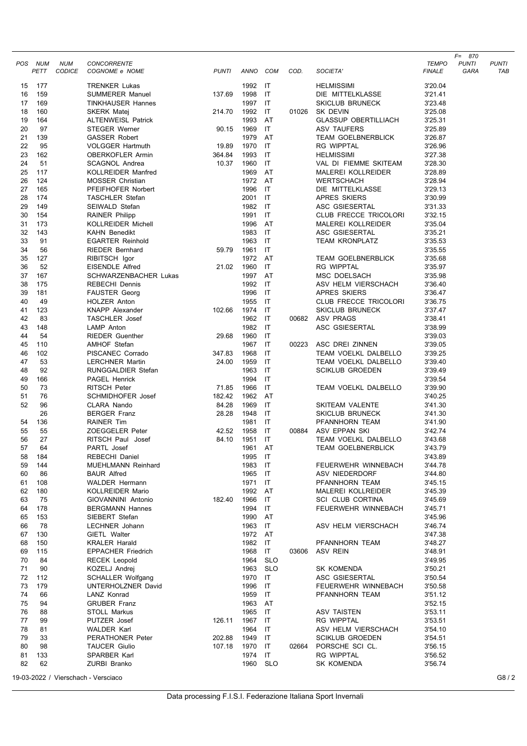|          | POS NUM    | <b>NUM</b>    | <b>CONCORRENTE</b>                                |              |                    |                              |       |                                                   | <b>TEMPO</b>       | $F = 870$<br>PUNTI | PUNTI   |
|----------|------------|---------------|---------------------------------------------------|--------------|--------------------|------------------------------|-------|---------------------------------------------------|--------------------|--------------------|---------|
|          | PETT       | <b>CODICE</b> | COGNOME e NOME                                    | <b>PUNTI</b> | ANNO COM           |                              | COD.  | SOCIETA'                                          | <b>FINALE</b>      | GARA               | TAB     |
| 15       | 177        |               | <b>TRENKER Lukas</b>                              |              | 1992               | ा                            |       | <b>HELMISSIMI</b>                                 | 3'20.04            |                    |         |
| 16       | 159        |               | <b>SUMMERER Manuel</b>                            | 137.69       | 1998               | IT                           |       | DIE MITTELKLASSE                                  | 3'21.41            |                    |         |
| 17       | 169        |               | <b>TINKHAUSER Hannes</b>                          |              | 1997 IT            |                              |       | <b>SKICLUB BRUNECK</b>                            | 3'23.48            |                    |         |
| 18       | 160        |               | <b>SKERK Matej</b>                                | 214.70       | 1992 IT            |                              | 01026 | SK DEVIN                                          | 3'25.08            |                    |         |
| 19<br>20 | 164<br>97  |               | <b>ALTENWEISL Patrick</b><br><b>STEGER Werner</b> | 90.15        | 1993<br>1969       | AT<br>IT                     |       | <b>GLASSUP OBERTILLIACH</b><br><b>ASV TAUFERS</b> | 3'25.31<br>3'25.89 |                    |         |
| 21       | 139        |               | <b>GASSER Robert</b>                              |              | 1979               | AT                           |       | <b>TEAM GOELBNERBLICK</b>                         | 3'26.87            |                    |         |
| 22       | 95         |               | <b>VOLGGER Hartmuth</b>                           | 19.89        | 1970 IT            |                              |       | <b>RG WIPPTAL</b>                                 | 3'26.96            |                    |         |
| 23       | 162        |               | <b>OBERKOFLER Armin</b>                           | 364.84       | 1993               | $\mathsf{I}\mathsf{T}$       |       | <b>HELMISSIMI</b>                                 | 3'27.38            |                    |         |
| 24       | 51         |               | <b>SCAGNOL Andrea</b>                             | 10.37        | 1960               | IT                           |       | VAL DI FIEMME SKITEAM                             | 3'28.30            |                    |         |
| 25       | 117        |               | <b>KOLLREIDER Manfred</b>                         |              | 1969               | AT                           |       | <b>MALEREI KOLLREIDER</b>                         | 3'28.89            |                    |         |
| 26       | 124        |               | <b>MOSSER Christian</b>                           |              | 1972 AT            |                              |       | <b>WERTSCHACH</b>                                 | 3'28.94            |                    |         |
| 27       | 165        |               | PFEIFHOFER Norbert                                |              | 1996               | IT                           |       | DIE MITTELKLASSE                                  | 3'29.13            |                    |         |
| 28<br>29 | 174<br>149 |               | <b>TASCHLER Stefan</b><br>SEIWALD Stefan          |              | 2001 IT<br>1982 IT |                              |       | APRES SKIERS<br>ASC GSIESERTAL                    | 3'30.99<br>3'31.33 |                    |         |
| 30       | 154        |               | <b>RAINER Philipp</b>                             |              | 1991 IT            |                              |       | <b>CLUB FRECCE TRICOLORI</b>                      | 3'32.15            |                    |         |
| 31       | 173        |               | <b>KOLLREIDER Michell</b>                         |              | 1996               | AT                           |       | MALEREI KOLLREIDER                                | 3'35.04            |                    |         |
| 32       | 143        |               | <b>KAHN Benedikt</b>                              |              | 1983               | IT                           |       | ASC GSIESERTAL                                    | 3'35.21            |                    |         |
| 33       | 91         |               | <b>EGARTER Reinhold</b>                           |              | 1963 IT            |                              |       | <b>TEAM KRONPLATZ</b>                             | 3'35.53            |                    |         |
| 34       | 56         |               | <b>RIEDER Bernhard</b>                            | 59.79        | 1961               | $\mathsf{I}\mathsf{T}$       |       |                                                   | 3'35.55            |                    |         |
| 35       | 127        |               | RIBITSCH Igor                                     |              | 1972 AT            |                              |       | <b>TEAM GOELBNERBLICK</b>                         | 3'35.68            |                    |         |
| 36       | 52         |               | <b>EISENDLE Alfred</b>                            | 21.02        | 1960               | IT                           |       | <b>RG WIPPTAL</b>                                 | 3'35.97            |                    |         |
| 37       | 167        |               | <b>SCHWARZENBACHER Lukas</b>                      |              | 1997               | AT                           |       | MSC DOELSACH                                      | 3'35.98            |                    |         |
| 38       | 175        |               | <b>REBECHI Dennis</b>                             |              | 1992 IT<br>1996    | $\mathsf{I}\mathsf{T}$       |       | ASV HELM VIERSCHACH<br><b>APRES SKIERS</b>        | 3'36.40            |                    |         |
| 39<br>40 | 181<br>49  |               | <b>FAUSTER Georg</b><br>HOLZER Anton              |              | 1955 IT            |                              |       | CLUB FRECCE TRICOLORI                             | 3'36.47<br>3'36.75 |                    |         |
| 41       | 123        |               | <b>KNAPP Alexander</b>                            | 102.66       | 1974               | - IT                         |       | <b>SKICLUB BRUNECK</b>                            | 3'37.47            |                    |         |
| 42       | 83         |               | <b>TASCHLER</b> Josef                             |              | 1962 IT            |                              | 00682 | ASV PRAGS                                         | 3'38.41            |                    |         |
| 43       | 148        |               | <b>LAMP</b> Anton                                 |              | 1982 IT            |                              |       | ASC GSIESERTAL                                    | 3'38.99            |                    |         |
| 44       | 54         |               | <b>RIEDER Guenther</b>                            | 29.68        | 1960 IT            |                              |       |                                                   | 3'39.03            |                    |         |
| 45       | 110        |               | <b>AMHOF Stefan</b>                               |              | 1967 IT            |                              | 00223 | ASC DREI ZINNEN                                   | 3'39.05            |                    |         |
| 46       | 102        |               | PISCANEC Corrado                                  | 347.83       | 1968               | $\mathsf{I}$                 |       | TEAM VOELKL DALBELLO                              | 3'39.25            |                    |         |
| 47       | 53         |               | <b>LERCHNER Martin</b>                            | 24.00        | 1959 IT            |                              |       | TEAM VOELKL DALBELLO                              | 3'39.40            |                    |         |
| 48<br>49 | 92         |               | <b>RUNGGALDIER Stefan</b><br><b>PAGEL Henrick</b> |              | 1963<br>1994       | $\mathsf{I}\mathsf{T}$<br>IT |       | <b>SCIKLUB GROEDEN</b>                            | 3'39.49            |                    |         |
| 50       | 166<br>73  |               | <b>RITSCH Peter</b>                               | 71.85        | 1966               | IT                           |       | TEAM VOELKL DALBELLO                              | 3'39.54<br>3'39.90 |                    |         |
| 51       | 76         |               | <b>SCHMIDHOFER Josef</b>                          | 182.42       | 1962 AT            |                              |       |                                                   | 3'40.25            |                    |         |
| 52       | 96         |               | CLARA Nando                                       | 84.28        | 1969               | IT                           |       | SKITEAM VALENTE                                   | 3'41.30            |                    |         |
|          | 26         |               | <b>BERGER Franz</b>                               | 28.28        | 1948               | IT                           |       | <b>SKICLUB BRUNECK</b>                            | 3'41.30            |                    |         |
| 54       | 136        |               | <b>RAINER Tim</b>                                 |              | 1981 IT            |                              |       | PFANNHORN TEAM                                    | 3'41.90            |                    |         |
| 55       | 55         |               | ZOEGGELER Peter                                   | 42.52        | 1958               | IT                           | 00884 | ASV EPPAN SKI                                     | 3'42.74            |                    |         |
| 56       | 27         |               | RITSCH Paul Josef                                 | 84.10        | 1951               | $\mathsf{I}$                 |       | TEAM VOELKL DALBELLO                              | 3'43.68            |                    |         |
| 57<br>58 | 64<br>184  |               | PARTL Josef<br>REBECHI Daniel                     |              | 1961<br>1995 IT    | AT                           |       | <b>TEAM GOELBNERBLICK</b>                         | 3'43.79<br>3'43.89 |                    |         |
| 59       | 144        |               | <b>MUEHLMANN Reinhard</b>                         |              | 1983 IT            |                              |       | FEUERWEHR WINNEBACH                               | 3'44.78            |                    |         |
| 60       | 86         |               | <b>BAUR Alfred</b>                                |              | 1965 IT            |                              |       | ASV NIEDERDORF                                    | 3'44.80            |                    |         |
| 61       | 108        |               | <b>WALDER Hermann</b>                             |              | 1971 IT            |                              |       | PFANNHORN TEAM                                    | 3'45.15            |                    |         |
| 62       | 180        |               | KOLLREIDER Mario                                  |              | 1992 AT            |                              |       | MALEREI KOLLREIDER                                | 3'45.39            |                    |         |
| 63       | 75         |               | GIOVANNINI Antonio                                | 182.40       | 1966 IT            |                              |       | SCI CLUB CORTINA                                  | 3'45.69            |                    |         |
| 64       | 178        |               | <b>BERGMANN Hannes</b>                            |              | 1994               | IT                           |       | FEUERWEHR WINNEBACH                               | 3'45.71            |                    |         |
| 65       | 153        |               | SIEBERT Stefan                                    |              | 1990 AT            |                              |       |                                                   | 3'45.96            |                    |         |
| 66       | 78         |               | LECHNER Johann                                    |              | 1963               | $\mathsf{I}$                 |       | ASV HELM VIERSCHACH                               | 3'46.74            |                    |         |
| 67<br>68 | 130<br>150 |               | GIETL Walter<br><b>KRALER Harald</b>              |              | 1972 AT<br>1982 IT |                              |       | PFANNHORN TEAM                                    | 3'47.38<br>3'48.27 |                    |         |
| 69       | 115        |               | <b>EPPACHER Friedrich</b>                         |              | 1968 IT            |                              | 03606 | ASV REIN                                          | 3'48.91            |                    |         |
| 70       | 84         |               | <b>RECEK Leopold</b>                              |              | 1964               | <b>SLO</b>                   |       |                                                   | 3'49.95            |                    |         |
| 71       | 90         |               | KOZELJ Andrej                                     |              | 1963 SLO           |                              |       | SK KOMENDA                                        | 3'50.21            |                    |         |
| 72       | 112        |               | <b>SCHALLER Wolfgang</b>                          |              | 1970 IT            |                              |       | ASC GSIESERTAL                                    | 3'50.54            |                    |         |
| 73       | 179        |               | UNTERHOLZNER David                                |              | 1996               | - IT                         |       | FEUERWEHR WINNEBACH                               | 3'50.58            |                    |         |
| 74       | 66         |               | LANZ Konrad                                       |              | 1959               | $\mathsf{I}$                 |       | PFANNHORN TEAM                                    | 3'51.12            |                    |         |
| 75       | 94         |               | <b>GRUBER Franz</b>                               |              | 1963 AT            |                              |       |                                                   | 3'52.15            |                    |         |
| 76<br>77 | 88<br>99   |               | <b>STOLL Markus</b><br>PUTZER Josef               | 126.11       | 1965 IT<br>1967 IT |                              |       | ASV TAISTEN<br>RG WIPPTAL                         | 3'53.11<br>3'53.51 |                    |         |
| 78       | 81         |               | <b>WALDER Karl</b>                                |              | 1964 IT            |                              |       | ASV HELM VIERSCHACH                               | 3'54.10            |                    |         |
| 79       | 33         |               | <b>PERATHONER Peter</b>                           | 202.88       | 1949 IT            |                              |       | <b>SCIKLUB GROEDEN</b>                            | 3'54.51            |                    |         |
| 80       | 98         |               | <b>TAUCER Giulio</b>                              | 107.18       | 1970 IT            |                              | 02664 | PORSCHE SCI CL.                                   | 3'56.15            |                    |         |
| 81       | 133        |               | SPARBER Karl                                      |              | 1974 IT            |                              |       | RG WIPPTAL                                        | 3'56.52            |                    |         |
| 82       | 62         |               | ZURBI Branko                                      |              | 1960               | <b>SLO</b>                   |       | SK KOMENDA                                        | 3'56.74            |                    |         |
|          |            |               | 19-03-2022 / Vierschach - Versciaco               |              |                    |                              |       |                                                   |                    |                    | G8 $/2$ |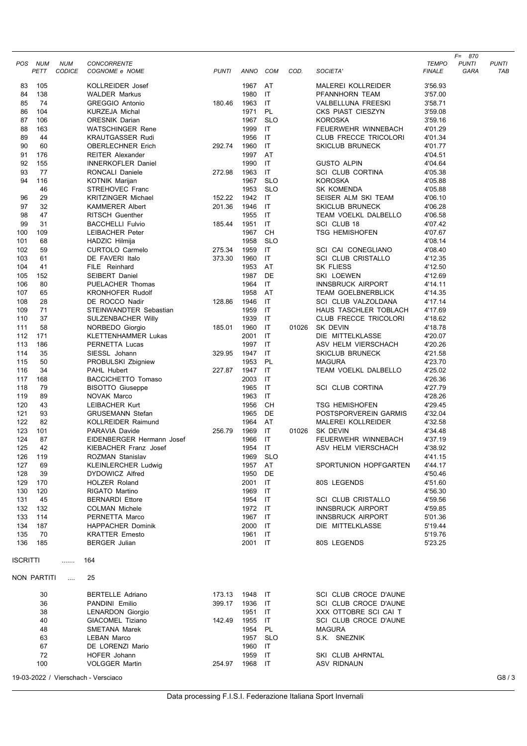|            |             |                             |                                          |              |                    |            |       |                                                       |                               | $F = 870$            |                     |
|------------|-------------|-----------------------------|------------------------------------------|--------------|--------------------|------------|-------|-------------------------------------------------------|-------------------------------|----------------------|---------------------|
| POS.       | NUM<br>PETT | <b>NUM</b><br><b>CODICE</b> | <b>CONCORRENTE</b><br>COGNOME e NOME     | <b>PUNTI</b> | ANNO               | COM        | COD.  | SOCIETA'                                              | <b>TEMPO</b><br><b>FINALE</b> | <b>PUNTI</b><br>GARA | <b>PUNTI</b><br>TAB |
|            |             |                             |                                          |              |                    |            |       |                                                       |                               |                      |                     |
| 83         | 105         |                             | KOLLREIDER Josef                         |              | 1967               | AT         |       | <b>MALEREI KOLLREIDER</b>                             | 3'56.93                       |                      |                     |
| 84         | 138         |                             | <b>WALDER Markus</b>                     |              | 1980               | IT         |       | PFANNHORN TEAM                                        | 3'57.00                       |                      |                     |
| 85         | 74          |                             | <b>GREGGIO Antonio</b>                   | 180.46       | 1963               | IT         |       | VALBELLUNA FREESKI                                    | 3'58.71                       |                      |                     |
| 86         | 104         |                             | <b>KURZEJA Michal</b>                    |              | 1971               | PL         |       | CKS PIAST CIESZYN                                     | 3'59.08                       |                      |                     |
| 87         | 106         |                             | <b>ORESNIK Darian</b>                    |              | 1967               | <b>SLO</b> |       | <b>KOROSKA</b>                                        | 3'59.16                       |                      |                     |
| 88         | 163         |                             | <b>WATSCHINGER Rene</b>                  |              | 1999               | IT         |       | FEUERWEHR WINNEBACH                                   | 4'01.29                       |                      |                     |
| 89         | 44          |                             | <b>KRAUTGASSER Rudi</b>                  |              | 1956               | IT         |       | CLUB FRECCE TRICOLORI                                 | 4'01.34                       |                      |                     |
| 90         | 60          |                             | <b>OBERLECHNER Erich</b>                 | 292.74       | 1960               | IT         |       | <b>SKICLUB BRUNECK</b>                                | 4'01.77                       |                      |                     |
| 91         | 176         |                             | <b>REITER Alexander</b>                  |              | 1997               | AT         |       |                                                       | 4'04.51                       |                      |                     |
| 92         | 155         |                             | <b>INNERKOFLER Daniel</b>                |              | 1990               | IT         |       | <b>GUSTO ALPIN</b>                                    | 4'04.64                       |                      |                     |
| 93         | 77          |                             | RONCALI Daniele                          | 272.98       | 1963               | IT         |       | <b>SCI CLUB CORTINA</b>                               | 4'05.38                       |                      |                     |
| 94         | 116         |                             | <b>KOTNIK Marijan</b>                    |              | 1967               | <b>SLO</b> |       | <b>KOROSKA</b>                                        | 4'05.88                       |                      |                     |
|            | 46          |                             | STREHOVEC Franc                          |              | 1953               | <b>SLO</b> |       | SK KOMENDA                                            | 4'05.88                       |                      |                     |
| 96         | 29          |                             | <b>KRITZINGER Michael</b>                | 152.22       | 1942               | IT         |       | SEISER ALM SKI TEAM                                   | 4'06.10                       |                      |                     |
| 97         | 32          |                             | <b>KAMMERER Albert</b>                   | 201.36       | 1946               | IT         |       | <b>SKICLUB BRUNECK</b>                                | 4'06.28                       |                      |                     |
| 98<br>99   | 47<br>31    |                             | <b>RITSCH Guenther</b>                   | 185.44       | 1955 IT            | IT         |       | TEAM VOELKL DALBELLO                                  | 4'06.58                       |                      |                     |
| 100        | 109         |                             | <b>BACCHELLI Fulvio</b>                  |              | 1951<br>1967       | <b>CH</b>  |       | SCI CLUB 18<br><b>TSG HEMISHOFEN</b>                  | 4'07.42                       |                      |                     |
| 101        | 68          |                             | LEIBACHER Peter                          |              | 1958               | <b>SLO</b> |       |                                                       | 4'07.67<br>4'08.14            |                      |                     |
| 102        | 59          |                             | HADZIC Hilmija<br><b>CURTOLO Carmelo</b> | 275.34       | 1959               | IT         |       | SCI CAI CONEGLIANO                                    | 4'08.40                       |                      |                     |
| 103        | 61          |                             | DE FAVERI Italo                          | 373.30       | 1960               | IT         |       | <b>SCI CLUB CRISTALLO</b>                             | 4'12.35                       |                      |                     |
| 104        | 41          |                             | FILE Reinhard                            |              | 1953               | AT         |       | SK FLIESS                                             | 4'12.50                       |                      |                     |
| 105        | 152         |                             | <b>SEIBERT Daniel</b>                    |              | 1987               | DE         |       | SKI LOEWEN                                            | 4'12.69                       |                      |                     |
| 106        | 80          |                             | PUELACHER Thomas                         |              | 1964               | IT         |       | <b>INNSBRUCK AIRPORT</b>                              | 4'14.11                       |                      |                     |
| 107        | 65          |                             | <b>KRONHOFER Rudolf</b>                  |              | 1958               | AT         |       | <b>TEAM GOELBNERBLICK</b>                             | 4'14.35                       |                      |                     |
| 108        | 28          |                             | DE ROCCO Nadir                           | 128.86       | 1946               | IT         |       | SCI CLUB VALZOLDANA                                   | 4'17.14                       |                      |                     |
| 109        | 71          |                             | STEINWANDTER Sebastian                   |              | 1959               | IT         |       | HAUS TASCHLER TOBLACH                                 | 4'17.69                       |                      |                     |
| 110        | 37          |                             | SULZENBACHER Willy                       |              | 1939               | IT         |       | CLUB FRECCE TRICOLORI                                 | 4'18.62                       |                      |                     |
| 111        | 58          |                             | NORBEDO Giorgio                          | 185.01       | 1960               | IT         | 01026 | SK DEVIN                                              | 4'18.78                       |                      |                     |
| 112        | 171         |                             | <b>KLETTENHAMMER Lukas</b>               |              | 2001               | IT         |       | DIE MITTELKLASSE                                      | 4'20.07                       |                      |                     |
| 113        | 186         |                             | PERNETTA Lucas                           |              | 1997               | IT         |       | ASV HELM VIERSCHACH                                   | 4'20.26                       |                      |                     |
| 114        | 35          |                             | SIESSL Johann                            | 329.95       | 1947               | IT         |       | <b>SKICLUB BRUNECK</b>                                | 4'21.58                       |                      |                     |
| 115        | 50          |                             | PROBULSKI Zbigniew                       |              | 1953               | PL         |       | <b>MAGURA</b>                                         | 4'23.70                       |                      |                     |
| 116        | 34          |                             | PAHL Hubert                              | 227.87       | 1947               | IT         |       | TEAM VOELKL DALBELLO                                  | 4'25.02                       |                      |                     |
| 117        | 168         |                             | <b>BACCICHETTO Tomaso</b>                |              | 2003               | IT         |       |                                                       | 4'26.36                       |                      |                     |
| 118        | 79          |                             | <b>BISOTTO Giuseppe</b>                  |              | 1965               | IT         |       | <b>SCI CLUB CORTINA</b>                               | 4'27.79                       |                      |                     |
| 119        | 89          |                             | NOVAK Marco                              |              | 1963               | IT         |       |                                                       | 4'28.26                       |                      |                     |
| 120        | 43          |                             | <b>LEIBACHER Kurt</b>                    |              | 1956               | CН         |       | <b>TSG HEMISHOFEN</b>                                 | 4'29.45                       |                      |                     |
| 121        | 93          |                             | <b>GRUSEMANN Stefan</b>                  |              | 1965               | DE         |       | POSTSPORVEREIN GARMIS                                 | 4'32.04                       |                      |                     |
| 122        | 82          |                             | <b>KOLLREIDER Raimund</b>                |              | 1964               | AT         |       | <b>MALEREI KOLLREIDER</b>                             | 4'32.58                       |                      |                     |
| 123        | 101         |                             | PARAVIA Davide                           | 256.79       | 1969               | IT         | 01026 | SK DEVIN                                              | 4'34.48                       |                      |                     |
| 124        | 87          |                             | EIDENBERGER Hermann Josef                |              | 1966               | IT         |       | FEUERWEHR WINNEBACH                                   | 4'37.19                       |                      |                     |
| 125        | 42          |                             | KIEBACHER Franz Josef                    |              | 1954               | IT         |       | ASV HELM VIERSCHACH                                   | 4'38.92                       |                      |                     |
| 126        | 119         |                             | ROZMAN Stanislav                         |              | 1969               | <b>SLO</b> |       |                                                       | 4'41.15                       |                      |                     |
| 127        | 69          |                             | <b>KLEINLERCHER Ludwig</b>               |              | 1957               | AT         |       | SPORTUNION HOPFGARTEN                                 | 4'44.17                       |                      |                     |
| 128        | 39          |                             | DYDOWICZ Alfred                          |              | 1950               | DE         |       |                                                       | 4'50.46                       |                      |                     |
| 129        | 170         |                             | <b>HOLZER Roland</b>                     |              | 2001               | IT         |       | 80S LEGENDS                                           | 4'51.60                       |                      |                     |
| 130        | 120         |                             | RIGATO Martino                           |              | 1969               | IT         |       |                                                       | 4'56.30                       |                      |                     |
| 131        | 45          |                             | <b>BERNARDI Ettore</b>                   |              | 1954 IT<br>1972 IT |            |       | <b>SCI CLUB CRISTALLO</b><br><b>INNSBRUCK AIRPORT</b> | 4'59.56                       |                      |                     |
| 132<br>133 | 132<br>114  |                             | <b>COLMAN Michele</b><br>PERNETTA Marco  |              | 1967 IT            |            |       | <b>INNSBRUCK AIRPORT</b>                              | 4'59.85                       |                      |                     |
| 134        | 187         |                             | <b>HAPPACHER Dominik</b>                 |              | 2000               | IT         |       | DIE MITTELKLASSE                                      | 5'01.36                       |                      |                     |
| 135        | 70          |                             | <b>KRATTER Ernesto</b>                   |              | 1961 IT            |            |       |                                                       | 5'19.44<br>5'19.76            |                      |                     |
| 136        | 185         |                             | <b>BERGER Julian</b>                     |              | 2001 IT            |            |       | 80S LEGENDS                                           | 5'23.25                       |                      |                     |
|            |             |                             |                                          |              |                    |            |       |                                                       |                               |                      |                     |
| ISCRITTI   |             | .                           | 164                                      |              |                    |            |       |                                                       |                               |                      |                     |
|            | NON PARTITI | $\cdots$                    | 25                                       |              |                    |            |       |                                                       |                               |                      |                     |
|            | 30          |                             | <b>BERTELLE Adriano</b>                  | 173.13       | 1948               | ा          |       | SCI CLUB CROCE D'AUNE                                 |                               |                      |                     |
|            | 36          |                             | PANDINI Emilio                           | 399.17       | 1936 IT            |            |       | SCI CLUB CROCE D'AUNE                                 |                               |                      |                     |
|            | 38          |                             | <b>LENARDON Giorgio</b>                  |              | 1951 IT            |            |       | XXX OTTOBRE SCI CAI T                                 |                               |                      |                     |
|            | 40          |                             | GIACOMEL Tiziano                         | 142.49       | 1955               | IT         |       | SCI CLUB CROCE D'AUNE                                 |                               |                      |                     |
|            | 48          |                             | <b>SMETANA Marek</b>                     |              | 1954               | PL         |       | <b>MAGURA</b>                                         |                               |                      |                     |
|            | 63          |                             | <b>LEBAN Marco</b>                       |              | 1957 SLO           |            |       | S.K. SNEZNIK                                          |                               |                      |                     |
|            | 67          |                             | DE LORENZI Mario                         |              | 1960               | IT         |       |                                                       |                               |                      |                     |
|            | 72          |                             | HOFER Johann                             |              | 1959               | IT         |       | SKI CLUB AHRNTAL                                      |                               |                      |                     |
|            | 100         |                             | <b>VOLGGER Martin</b>                    | 254.97       | 1968               | IT         |       | ASV RIDNAUN                                           |                               |                      |                     |
|            |             |                             | 19-03-2022 / Vierschach - Versciaco      |              |                    |            |       |                                                       |                               |                      | G8/3                |